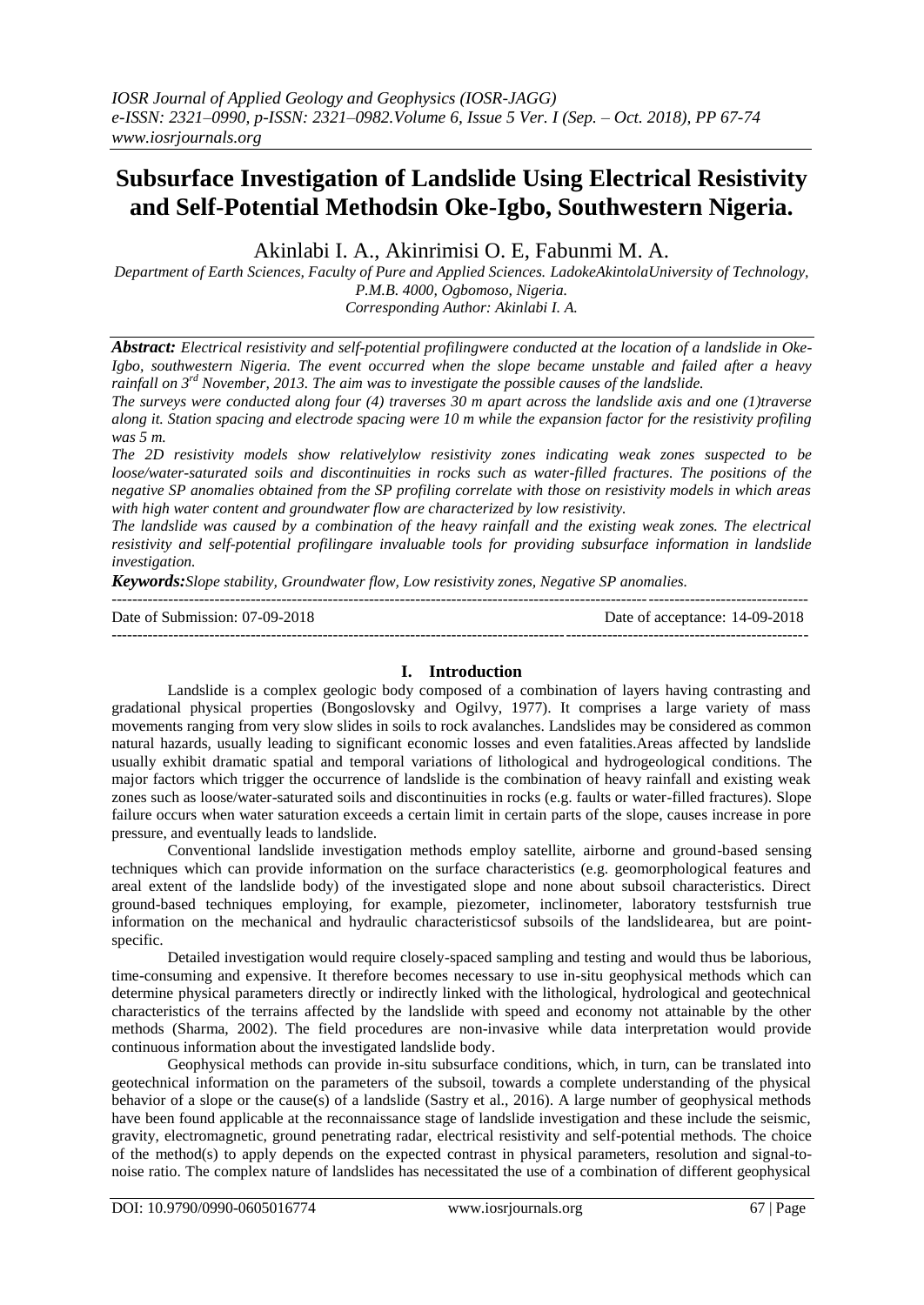## **Subsurface Investigation of Landslide Using Electrical Resistivity and Self-Potential Methodsin Oke-Igbo, Southwestern Nigeria.**

Akinlabi I. A., Akinrimisi O. E, Fabunmi M. A.

*Department of Earth Sciences, Faculty of Pure and Applied Sciences. LadokeAkintolaUniversity of Technology, P.M.B. 4000, Ogbomoso, Nigeria. Corresponding Author: Akinlabi I. A.*

*Abstract: Electrical resistivity and self-potential profilingwere conducted at the location of a landslide in Oke-Igbo, southwestern Nigeria. The event occurred when the slope became unstable and failed after a heavy rainfall on 3rd November, 2013. The aim was to investigate the possible causes of the landslide.*

*The surveys were conducted along four (4) traverses 30 m apart across the landslide axis and one (1)traverse along it. Station spacing and electrode spacing were 10 m while the expansion factor for the resistivity profiling was 5 m.*

*The 2D resistivity models show relativelylow resistivity zones indicating weak zones suspected to be loose/water-saturated soils and discontinuities in rocks such as water-filled fractures. The positions of the negative SP anomalies obtained from the SP profiling correlate with those on resistivity models in which areas with high water content and groundwater flow are characterized by low resistivity.*

*The landslide was caused by a combination of the heavy rainfall and the existing weak zones. The electrical resistivity and self-potential profilingare invaluable tools for providing subsurface information in landslide investigation.*

*Keywords:Slope stability, Groundwater flow, Low resistivity zones, Negative SP anomalies.*

--------------------------------------------------------------------------------------------------------------------------------------- Date of Submission: 07-09-2018 Date of acceptance: 14-09-2018 --------------------------------------------------------------------------------------------------------------------------------------*-*

## **I. Introduction**

Landslide is a complex geologic body composed of a combination of layers having contrasting and gradational physical properties (Bongoslovsky and Ogilvy, 1977). It comprises a large variety of mass movements ranging from very slow slides in soils to rock avalanches. Landslides may be considered as common natural hazards, usually leading to significant economic losses and even fatalities.Areas affected by landslide usually exhibit dramatic spatial and temporal variations of lithological and hydrogeological conditions. The major factors which trigger the occurrence of landslide is the combination of heavy rainfall and existing weak zones such as loose/water-saturated soils and discontinuities in rocks (e.g. faults or water-filled fractures). Slope failure occurs when water saturation exceeds a certain limit in certain parts of the slope, causes increase in pore pressure, and eventually leads to landslide.

Conventional landslide investigation methods employ satellite, airborne and ground-based sensing techniques which can provide information on the surface characteristics (e.g. geomorphological features and areal extent of the landslide body) of the investigated slope and none about subsoil characteristics. Direct ground-based techniques employing, for example, piezometer, inclinometer, laboratory testsfurnish true information on the mechanical and hydraulic characteristicsof subsoils of the landslidearea, but are pointspecific.

Detailed investigation would require closely-spaced sampling and testing and would thus be laborious, time-consuming and expensive. It therefore becomes necessary to use in-situ geophysical methods which can determine physical parameters directly or indirectly linked with the lithological, hydrological and geotechnical characteristics of the terrains affected by the landslide with speed and economy not attainable by the other methods (Sharma, 2002). The field procedures are non-invasive while data interpretation would provide continuous information about the investigated landslide body.

Geophysical methods can provide in-situ subsurface conditions, which, in turn, can be translated into geotechnical information on the parameters of the subsoil, towards a complete understanding of the physical behavior of a slope or the cause(s) of a landslide (Sastry et al., 2016). A large number of geophysical methods have been found applicable at the reconnaissance stage of landslide investigation and these include the seismic, gravity, electromagnetic, ground penetrating radar, electrical resistivity and self-potential methods. The choice of the method(s) to apply depends on the expected contrast in physical parameters, resolution and signal-tonoise ratio. The complex nature of landslides has necessitated the use of a combination of different geophysical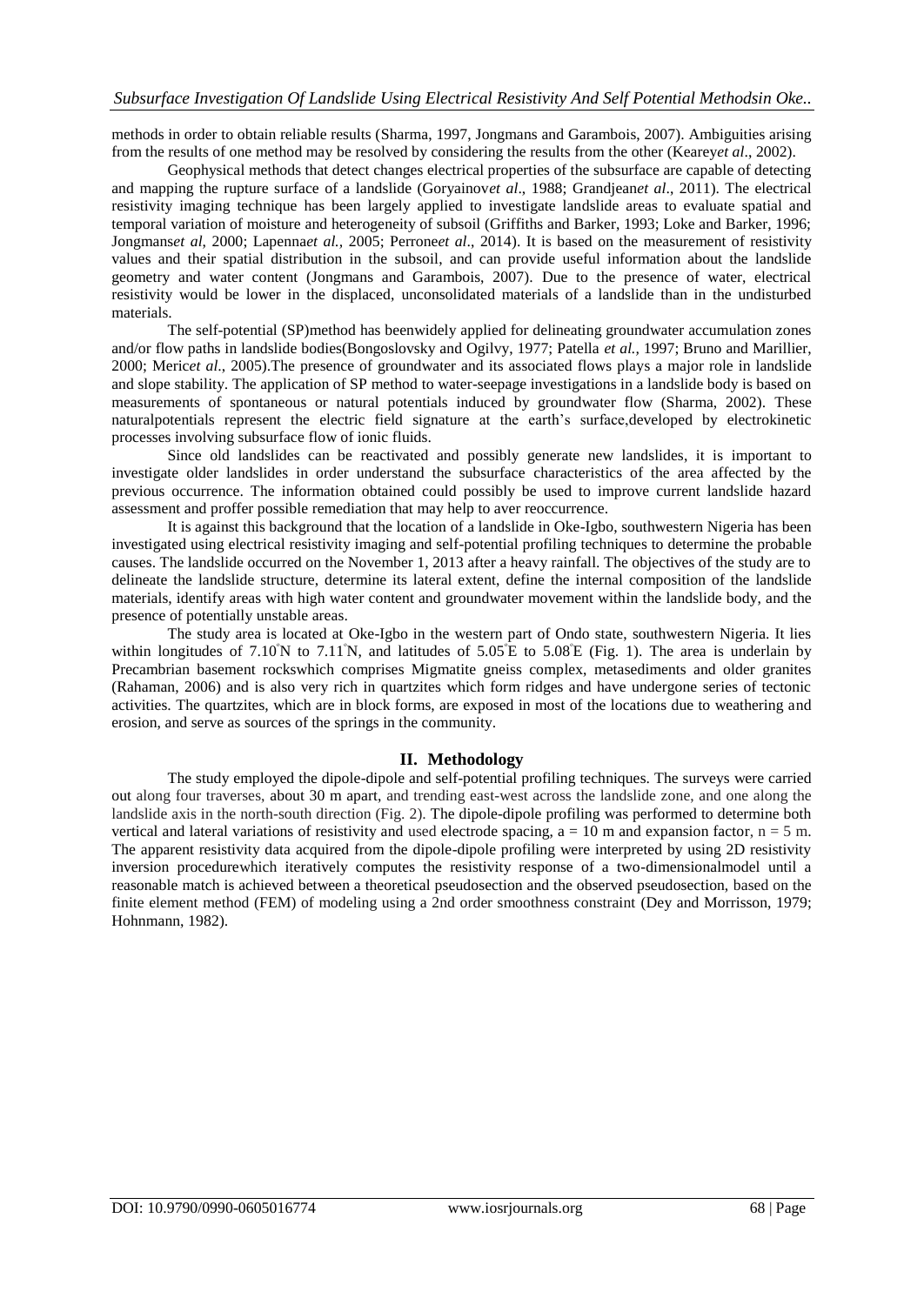methods in order to obtain reliable results (Sharma, 1997, Jongmans and Garambois, 2007). Ambiguities arising from the results of one method may be resolved by considering the results from the other (Kearey*et al*., 2002).

Geophysical methods that detect changes electrical properties of the subsurface are capable of detecting and mapping the rupture surface of a landslide (Goryainov*et al*., 1988; Grandjean*et al*., 2011). The electrical resistivity imaging technique has been largely applied to investigate landslide areas to evaluate spatial and temporal variation of moisture and heterogeneity of subsoil (Griffiths and Barker, 1993; Loke and Barker, 1996; Jongmans*et al*, 2000; Lapenna*et al.,* 2005; Perrone*et al*., 2014). It is based on the measurement of resistivity values and their spatial distribution in the subsoil, and can provide useful information about the landslide geometry and water content (Jongmans and Garambois, 2007). Due to the presence of water, electrical resistivity would be lower in the displaced, unconsolidated materials of a landslide than in the undisturbed materials.

The self-potential (SP)method has beenwidely applied for delineating groundwater accumulation zones and/or flow paths in landslide bodies(Bongoslovsky and Ogilvy, 1977; Patella *et al.,* 1997; Bruno and Marillier, 2000; Meric*et al*., 2005).The presence of groundwater and its associated flows plays a major role in landslide and slope stability. The application of SP method to water-seepage investigations in a landslide body is based on measurements of spontaneous or natural potentials induced by groundwater flow (Sharma, 2002). These naturalpotentials represent the electric field signature at the earth's surface,developed by electrokinetic processes involving subsurface flow of ionic fluids.

Since old landslides can be reactivated and possibly generate new landslides, it is important to investigate older landslides in order understand the subsurface characteristics of the area affected by the previous occurrence. The information obtained could possibly be used to improve current landslide hazard assessment and proffer possible remediation that may help to aver reoccurrence.

It is against this background that the location of a landslide in Oke-Igbo, southwestern Nigeria has been investigated using electrical resistivity imaging and self-potential profiling techniques to determine the probable causes. The landslide occurred on the November 1, 2013 after a heavy rainfall. The objectives of the study are to delineate the landslide structure, determine its lateral extent, define the internal composition of the landslide materials, identify areas with high water content and groundwater movement within the landslide body, and the presence of potentially unstable areas.

The study area is located at Oke-Igbo in the western part of Ondo state, southwestern Nigeria. It lies within longitudes of 7.10 $\degree$ N to 7.11 $\degree$ N, and latitudes of 5.05 $\degree$ E to 5.08 $\degree$ E (Fig. 1). The area is underlain by Precambrian basement rockswhich comprises Migmatite gneiss complex, metasediments and older granites (Rahaman, 2006) and is also very rich in quartzites which form ridges and have undergone series of tectonic activities. The quartzites, which are in block forms, are exposed in most of the locations due to weathering and erosion, and serve as sources of the springs in the community.

### **II. Methodology**

The study employed the dipole-dipole and self-potential profiling techniques. The surveys were carried out along four traverses, about 30 m apart, and trending east-west across the landslide zone, and one along the landslide axis in the north-south direction (Fig. 2). The dipole-dipole profiling was performed to determine both vertical and lateral variations of resistivity and used electrode spacing,  $a = 10$  m and expansion factor,  $n = 5$  m. The apparent resistivity data acquired from the dipole-dipole profiling were interpreted by using 2D resistivity inversion procedurewhich iteratively computes the resistivity response of a two-dimensionalmodel until a reasonable match is achieved between a theoretical pseudosection and the observed pseudosection, based on the finite element method (FEM) of modeling using a 2nd order smoothness constraint (Dey and Morrisson, 1979; Hohnmann, 1982).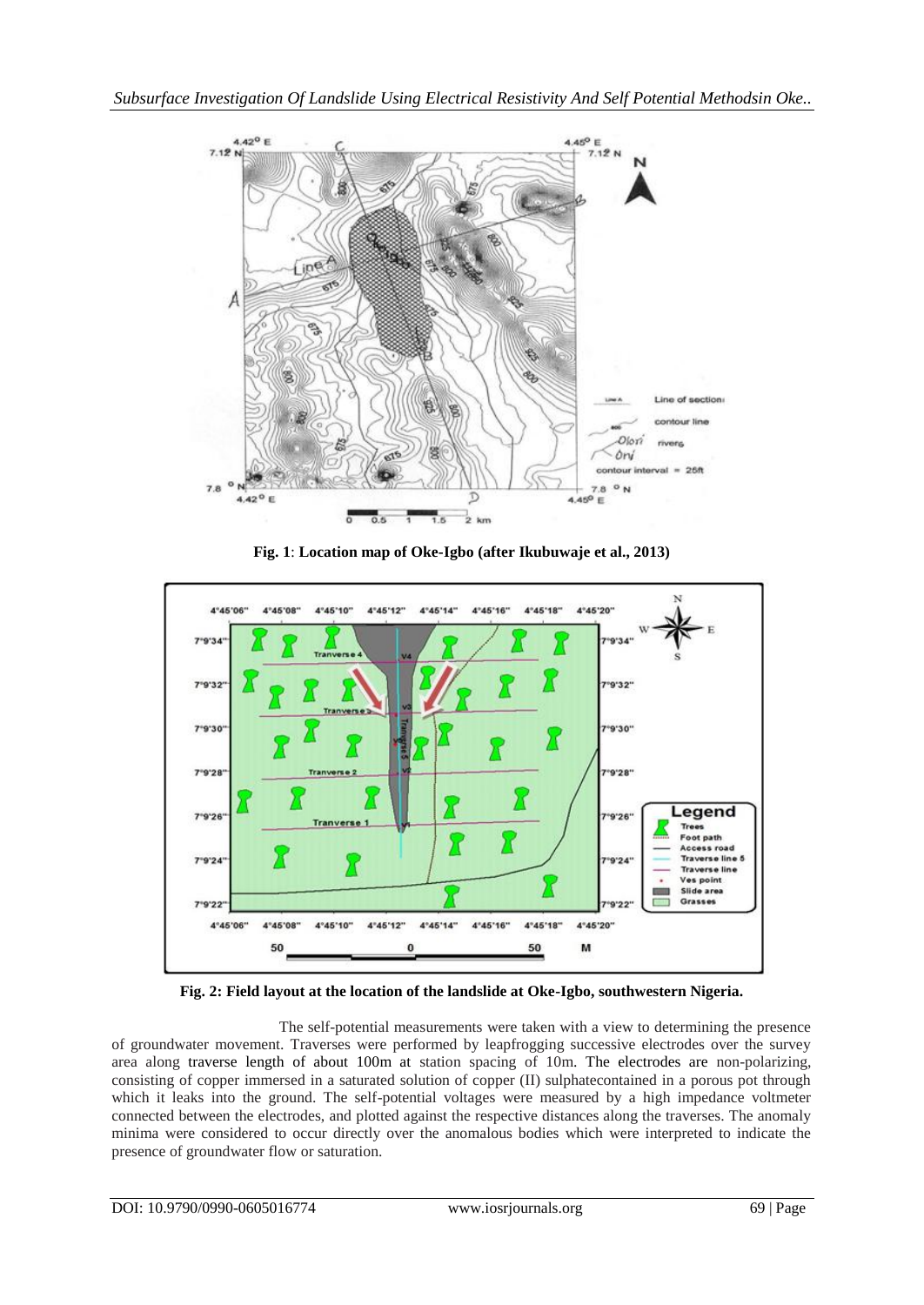

**Fig. 1**: **Location map of Oke-Igbo (after Ikubuwaje et al., 2013)**



**Fig. 2: Field layout at the location of the landslide at Oke-Igbo, southwestern Nigeria.**

The self-potential measurements were taken with a view to determining the presence of groundwater movement. Traverses were performed by leapfrogging successive electrodes over the survey area along traverse length of about 100m at station spacing of 10m. The electrodes are non-polarizing, consisting of copper immersed in a saturated solution of copper (II) sulphatecontained in a porous pot through which it leaks into the ground. The self-potential voltages were measured by a high impedance voltmeter connected between the electrodes, and plotted against the respective distances along the traverses. The anomaly minima were considered to occur directly over the anomalous bodies which were interpreted to indicate the presence of groundwater flow or saturation.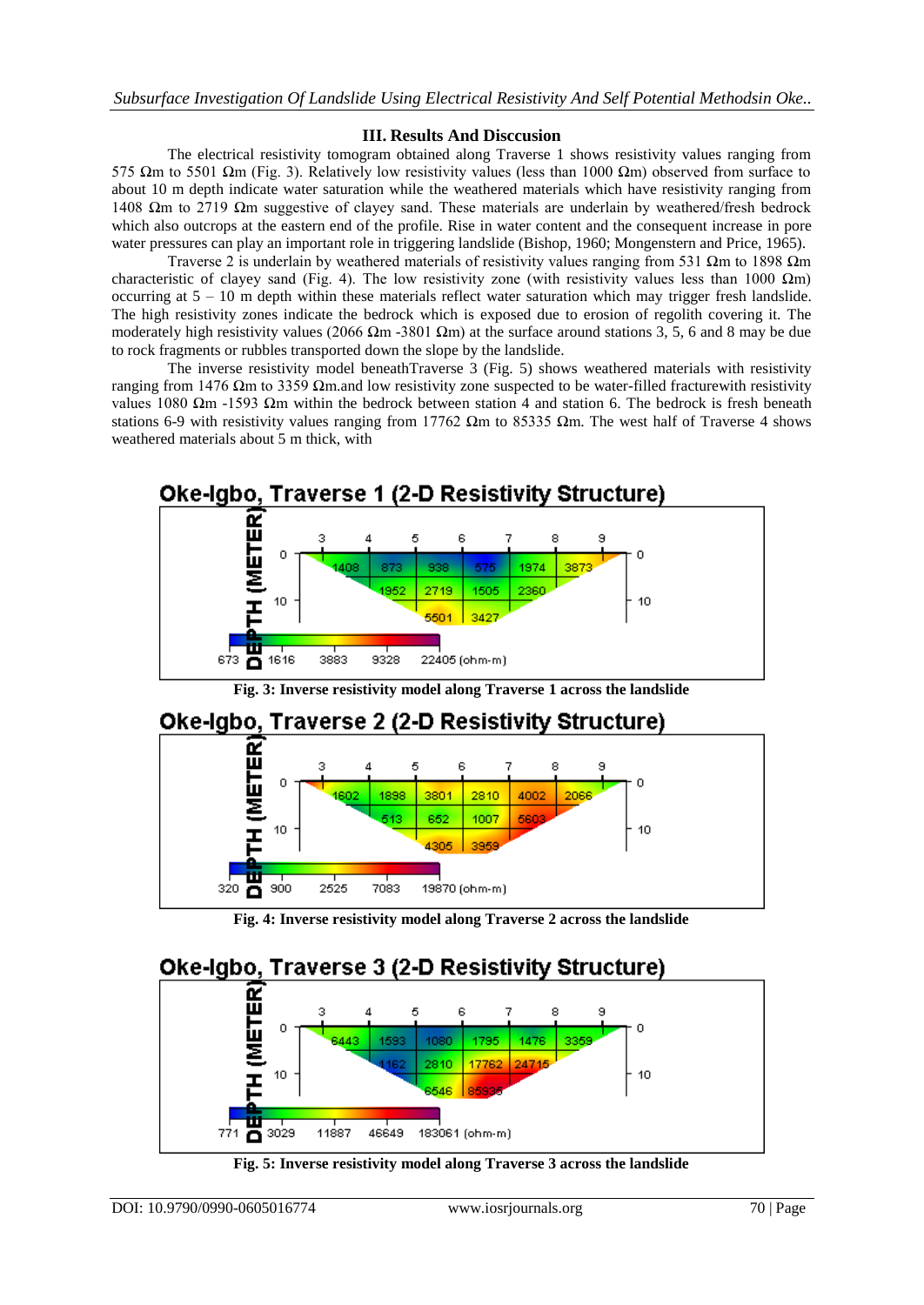### **III. Results And Disccusion**

The electrical resistivity tomogram obtained along Traverse 1 shows resistivity values ranging from 575 Ωm to 5501 Ωm (Fig. 3). Relatively low resistivity values (less than 1000 Ωm) observed from surface to about 10 m depth indicate water saturation while the weathered materials which have resistivity ranging from 1408 Ωm to 2719 Ωm suggestive of clayey sand. These materials are underlain by weathered/fresh bedrock which also outcrops at the eastern end of the profile. Rise in water content and the consequent increase in pore water pressures can play an important role in triggering landslide (Bishop, 1960; Mongenstern and Price, 1965).

Traverse 2 is underlain by weathered materials of resistivity values ranging from 531  $\Omega$ m to 1898  $\Omega$ m characteristic of clayey sand (Fig. 4). The low resistivity zone (with resistivity values less than 1000  $\Omega$ m) occurring at 5 – 10 m depth within these materials reflect water saturation which may trigger fresh landslide. The high resistivity zones indicate the bedrock which is exposed due to erosion of regolith covering it. The moderately high resistivity values (2066 Ωm -3801 Ωm) at the surface around stations 3, 5, 6 and 8 may be due to rock fragments or rubbles transported down the slope by the landslide.

The inverse resistivity model beneathTraverse 3 (Fig. 5) shows weathered materials with resistivity ranging from 1476 Ωm to 3359 Ωm.and low resistivity zone suspected to be water-filled fracturewith resistivity values 1080 Ωm -1593 Ωm within the bedrock between station 4 and station 6. The bedrock is fresh beneath stations 6-9 with resistivity values ranging from 17762  $\Omega$ m to 85335  $\Omega$ m. The west half of Traverse 4 shows weathered materials about 5 m thick, with



**Fig. 3: Inverse resistivity model along Traverse 1 across the landslide**





**Fig. 4: Inverse resistivity model along Traverse 2 across the landslide**

# **Oke-Igbo, Traverse 3 (2-D Resistivity Structure)**



**Fig. 5: Inverse resistivity model along Traverse 3 across the landslide**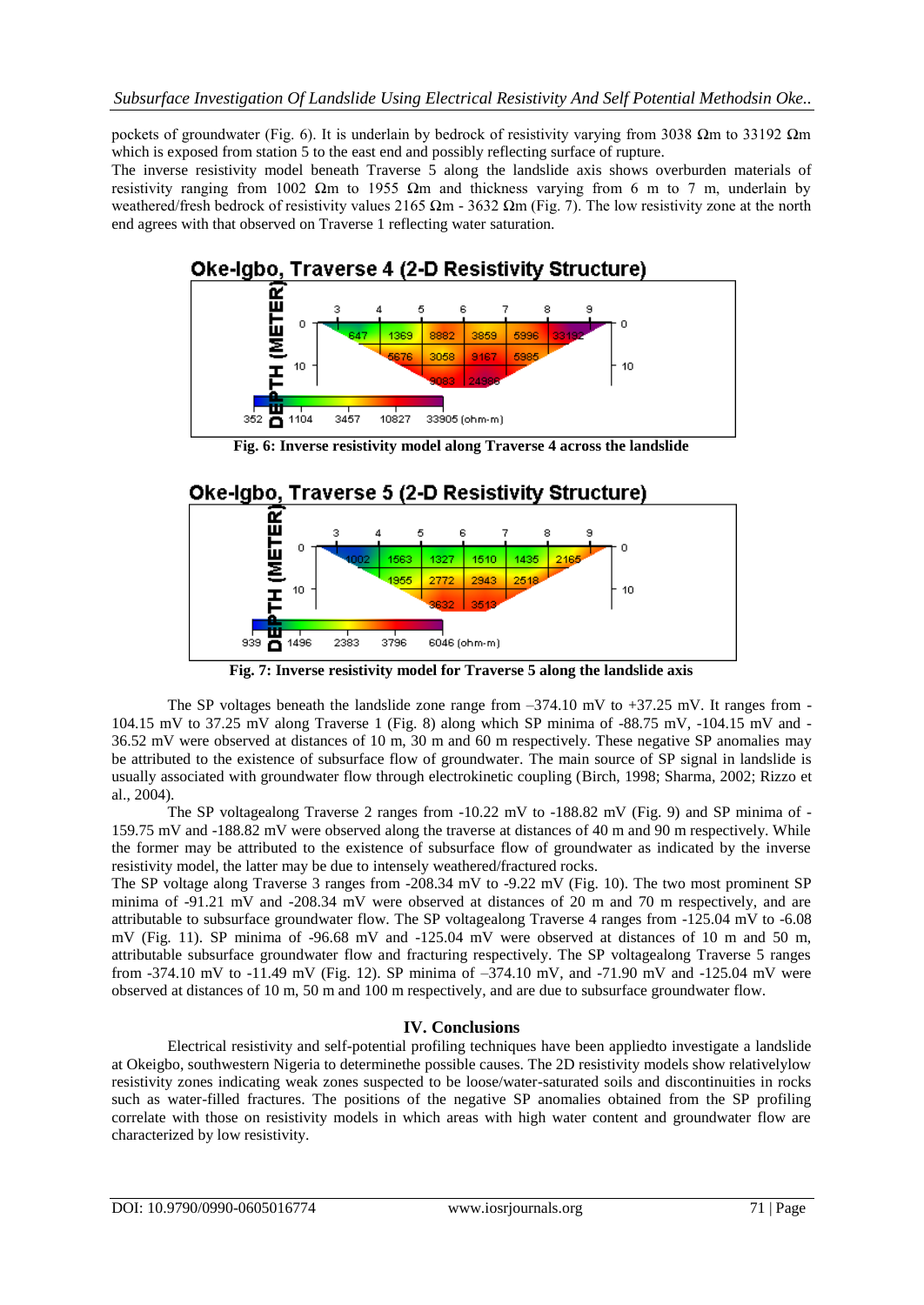pockets of groundwater (Fig. 6). It is underlain by bedrock of resistivity varying from 3038 Ωm to 33192 Ωm which is exposed from station 5 to the east end and possibly reflecting surface of rupture.

The inverse resistivity model beneath Traverse 5 along the landslide axis shows overburden materials of resistivity ranging from 1002 Ωm to 1955 Ωm and thickness varying from 6 m to 7 m, underlain by weathered/fresh bedrock of resistivity values 2165  $\Omega$ m - 3632  $\Omega$ m (Fig. 7). The low resistivity zone at the north end agrees with that observed on Traverse 1 reflecting water saturation.



**Fig. 6: Inverse resistivity model along Traverse 4 across the landslide**

# **Oke-Igbo, Traverse 5 (2-D Resistivity Structure)**



**Fig. 7: Inverse resistivity model for Traverse 5 along the landslide axis**

The SP voltages beneath the landslide zone range from  $-374.10$  mV to  $+37.25$  mV. It ranges from -104.15 mV to 37.25 mV along Traverse 1 (Fig. 8) along which SP minima of -88.75 mV, -104.15 mV and - 36.52 mV were observed at distances of 10 m, 30 m and 60 m respectively. These negative SP anomalies may be attributed to the existence of subsurface flow of groundwater. The main source of SP signal in landslide is usually associated with groundwater flow through electrokinetic coupling (Birch, 1998; Sharma, 2002; Rizzo et al., 2004).

The SP voltagealong Traverse 2 ranges from -10.22 mV to -188.82 mV (Fig. 9) and SP minima of - 159.75 mV and -188.82 mV were observed along the traverse at distances of 40 m and 90 m respectively. While the former may be attributed to the existence of subsurface flow of groundwater as indicated by the inverse resistivity model, the latter may be due to intensely weathered/fractured rocks.

The SP voltage along Traverse 3 ranges from -208.34 mV to -9.22 mV (Fig. 10). The two most prominent SP minima of -91.21 mV and -208.34 mV were observed at distances of 20 m and 70 m respectively, and are attributable to subsurface groundwater flow. The SP voltagealong Traverse 4 ranges from -125.04 mV to -6.08 mV (Fig. 11). SP minima of -96.68 mV and -125.04 mV were observed at distances of 10 m and 50 m, attributable subsurface groundwater flow and fracturing respectively. The SP voltagealong Traverse 5 ranges from -374.10 mV to -11.49 mV (Fig. 12). SP minima of –374.10 mV, and -71.90 mV and -125.04 mV were observed at distances of 10 m, 50 m and 100 m respectively, and are due to subsurface groundwater flow.

### **IV. Conclusions**

Electrical resistivity and self-potential profiling techniques have been appliedto investigate a landslide at Okeigbo, southwestern Nigeria to determinethe possible causes. The 2D resistivity models show relativelylow resistivity zones indicating weak zones suspected to be loose/water-saturated soils and discontinuities in rocks such as water-filled fractures. The positions of the negative SP anomalies obtained from the SP profiling correlate with those on resistivity models in which areas with high water content and groundwater flow are characterized by low resistivity.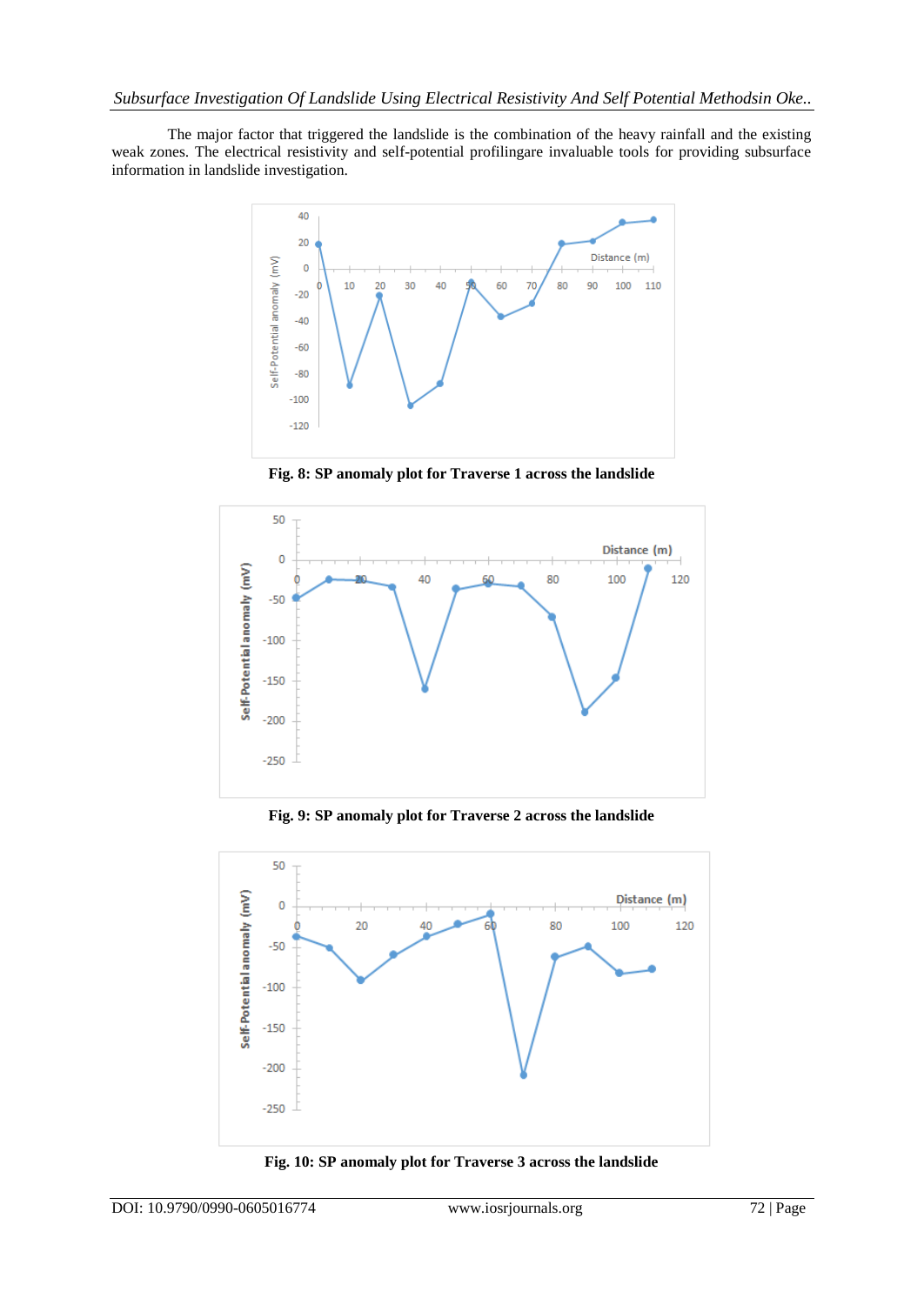The major factor that triggered the landslide is the combination of the heavy rainfall and the existing weak zones. The electrical resistivity and self-potential profilingare invaluable tools for providing subsurface information in landslide investigation.



**Fig. 8: SP anomaly plot for Traverse 1 across the landslide**



**Fig. 9: SP anomaly plot for Traverse 2 across the landslide**



**Fig. 10: SP anomaly plot for Traverse 3 across the landslide**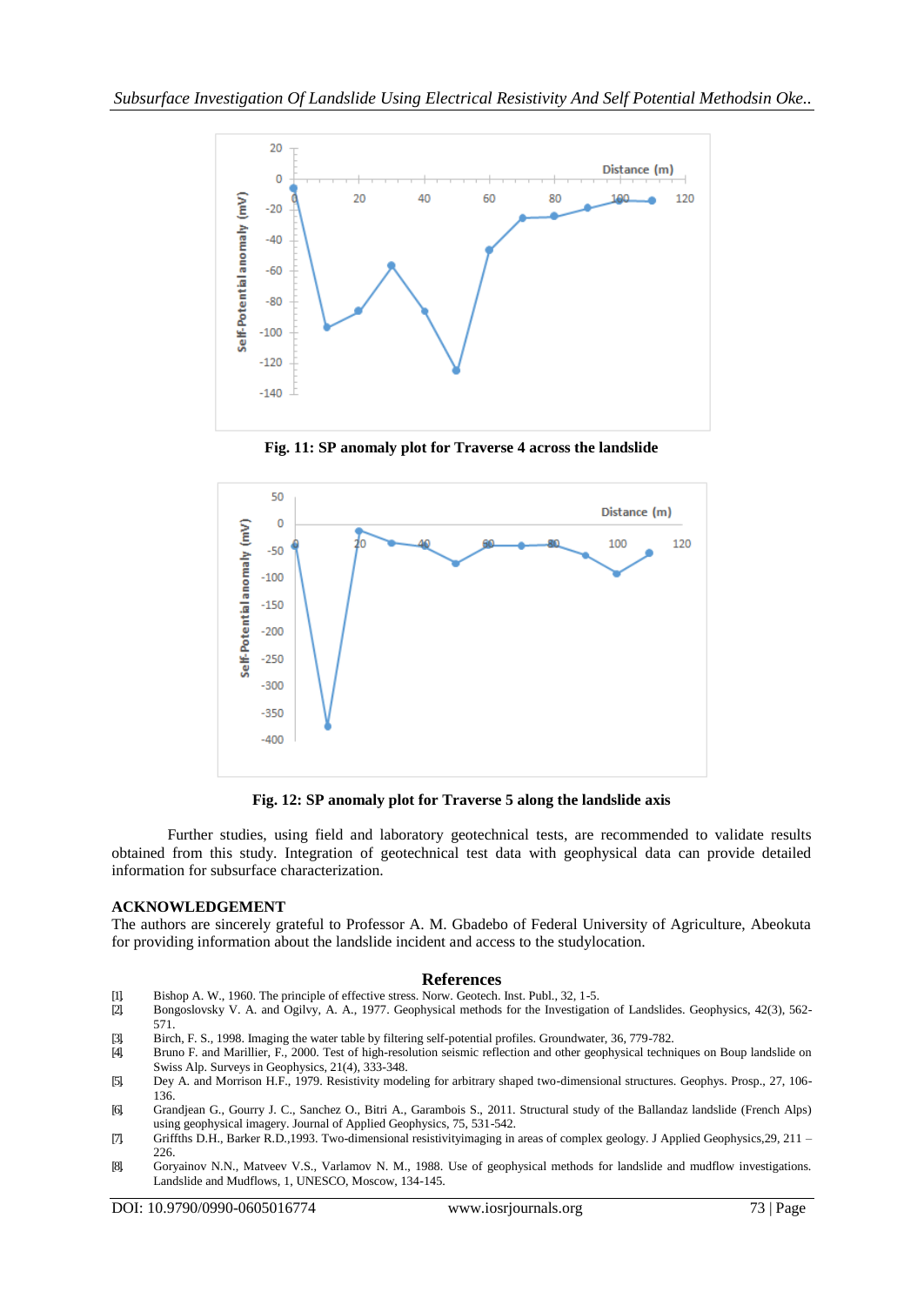

**Fig. 11: SP anomaly plot for Traverse 4 across the landslide**



**Fig. 12: SP anomaly plot for Traverse 5 along the landslide axis**

Further studies, using field and laboratory geotechnical tests, are recommended to validate results obtained from this study. Integration of geotechnical test data with geophysical data can provide detailed information for subsurface characterization.

### **ACKNOWLEDGEMENT**

The authors are sincerely grateful to Professor A. M. Gbadebo of Federal University of Agriculture, Abeokuta for providing information about the landslide incident and access to the studylocation.

#### **References**

- [1]. Bishop A. W., 1960. The principle of effective stress. Norw. Geotech. Inst. Publ., 32, 1-5.
- [2]. Bongoslovsky V. A. and Ogilvy, A. A., 1977. Geophysical methods for the Investigation of Landslides. Geophysics, 42(3), 562- 571.
- [3]. Birch, F. S., 1998. Imaging the water table by filtering self-potential profiles. Groundwater, 36, 779-782.
- [4]. Bruno F. and Marillier, F., 2000. Test of high-resolution seismic reflection and other geophysical techniques on Boup landslide on Swiss Alp. Surveys in Geophysics, 21(4), 333-348.
- [5]. Dey A. and Morrison H.F., 1979. Resistivity modeling for arbitrary shaped two-dimensional structures. Geophys. Prosp., 27, 106- 136.
- [6]. Grandjean G., Gourry J. C., Sanchez O., Bitri A., Garambois S., 2011. Structural study of the Ballandaz landslide (French Alps) using geophysical imagery. Journal of Applied Geophysics, 75, 531-542.
- [7]. Griffths D.H., Barker R.D.,1993. Two-dimensional resistivityimaging in areas of complex geology. J Applied Geophysics,29, 211 226.
- [8]. Goryainov N.N., Matveev V.S., Varlamov N. M., 1988. Use of geophysical methods for landslide and mudflow investigations. Landslide and Mudflows, 1, UNESCO, Moscow, 134-145.